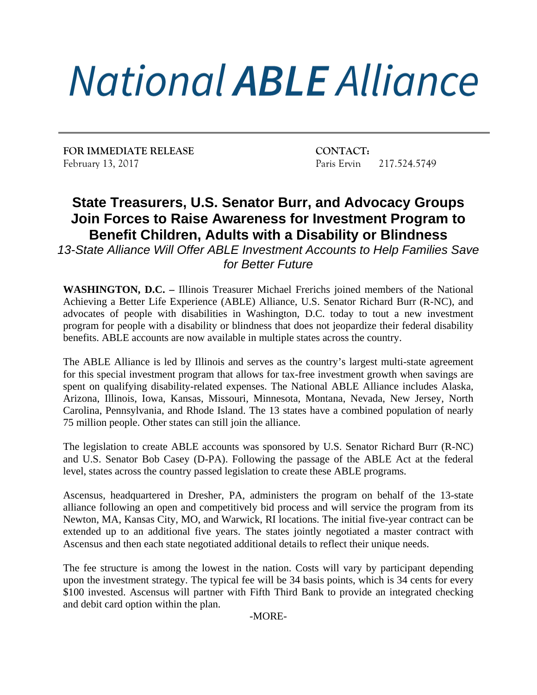## **National ABLE Alliance**

**FOR IMMEDIATE RELEASE CONTACT:** February 13, 2017 **Paris Ervin 217.524.5749** 

## **State Treasurers, U.S. Senator Burr, and Advocacy Groups Join Forces to Raise Awareness for Investment Program to Benefit Children, Adults with a Disability or Blindness**

*13-State Alliance Will Offer ABLE Investment Accounts to Help Families Save for Better Future*

**WASHINGTON, D.C. –** Illinois Treasurer Michael Frerichs joined members of the National Achieving a Better Life Experience (ABLE) Alliance, U.S. Senator Richard Burr (R-NC), and advocates of people with disabilities in Washington, D.C. today to tout a new investment program for people with a disability or blindness that does not jeopardize their federal disability benefits. ABLE accounts are now available in multiple states across the country.

The ABLE Alliance is led by Illinois and serves as the country's largest multi-state agreement for this special investment program that allows for tax-free investment growth when savings are spent on qualifying disability-related expenses. The National ABLE Alliance includes Alaska, Arizona, Illinois, Iowa, Kansas, Missouri, Minnesota, Montana, Nevada, New Jersey, North Carolina, Pennsylvania, and Rhode Island. The 13 states have a combined population of nearly 75 million people. Other states can still join the alliance.

The legislation to create ABLE accounts was sponsored by U.S. Senator Richard Burr (R-NC) and U.S. Senator Bob Casey (D-PA). Following the passage of the ABLE Act at the federal level, states across the country passed legislation to create these ABLE programs.

Ascensus, headquartered in Dresher, PA, administers the program on behalf of the 13-state alliance following an open and competitively bid process and will service the program from its Newton, MA, Kansas City, MO, and Warwick, RI locations. The initial five-year contract can be extended up to an additional five years. The states jointly negotiated a master contract with Ascensus and then each state negotiated additional details to reflect their unique needs.

The fee structure is among the lowest in the nation. Costs will vary by participant depending upon the investment strategy. The typical fee will be 34 basis points, which is 34 cents for every \$100 invested. Ascensus will partner with Fifth Third Bank to provide an integrated checking and debit card option within the plan.

-MORE-